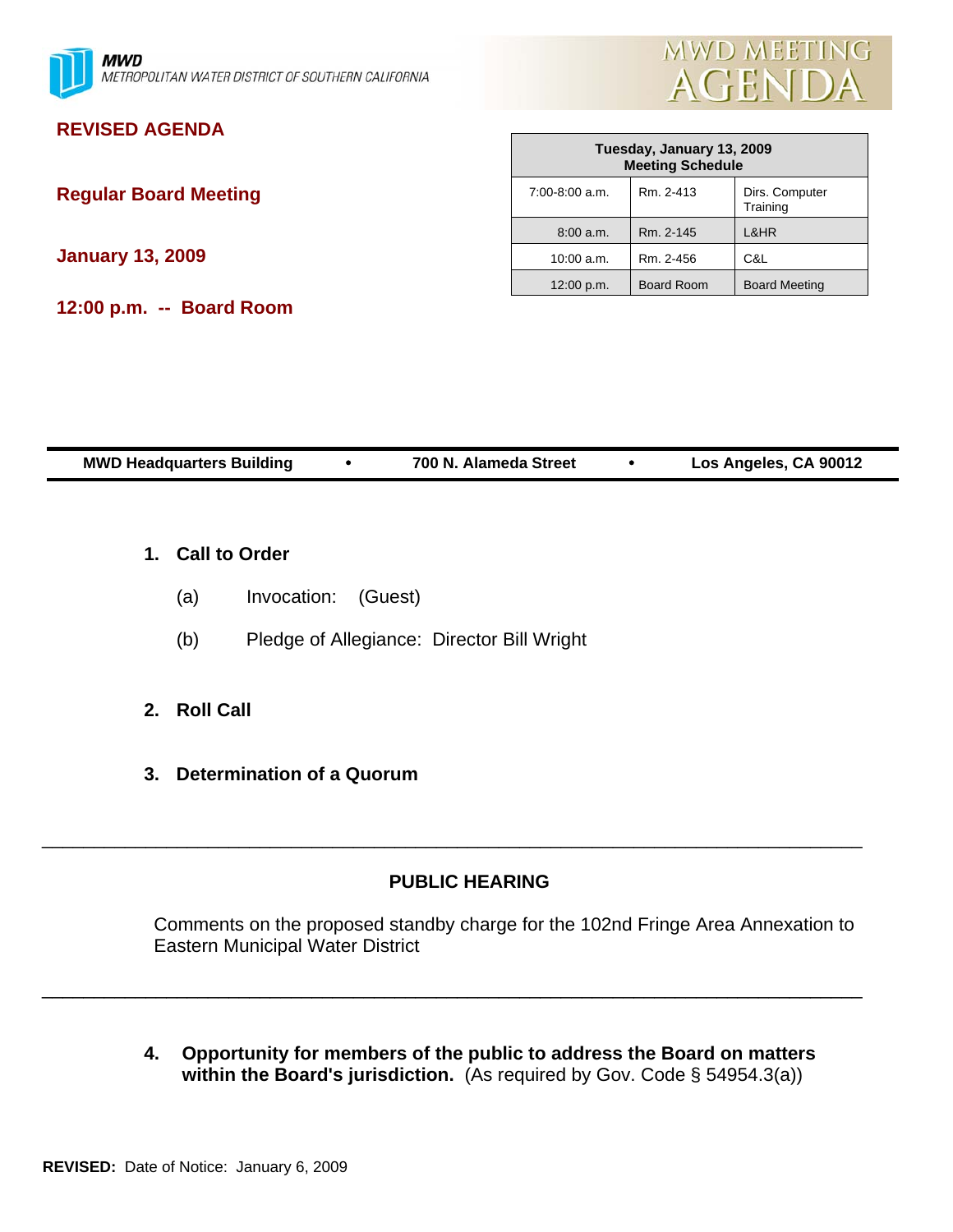



# **REVISED AGENDA**

**Regular Board Meeting** 

**January 13, 2009** 

**12:00 p.m. -- Board Room** 

| Tuesday, January 13, 2009<br><b>Meeting Schedule</b> |                   |                            |  |  |  |
|------------------------------------------------------|-------------------|----------------------------|--|--|--|
| $7:00-8:00$ a.m.                                     | Rm. 2-413         | Dirs. Computer<br>Training |  |  |  |
| 8:00 a.m.                                            | Rm. 2-145         | L&HR                       |  |  |  |
| 10:00 a.m.                                           | Rm. 2-456         | C&L                        |  |  |  |
| 12:00 p.m.                                           | <b>Board Room</b> | <b>Board Meeting</b>       |  |  |  |

| <b>MWD Headquarters Building</b> | 700 N. Alameda Street | Los Angeles, CA 90012 |
|----------------------------------|-----------------------|-----------------------|
|                                  |                       |                       |

- **1. Call to Order**
	- (a) Invocation: (Guest)
	- (b) Pledge of Allegiance: Director Bill Wright
- **2. Roll Call**
- **3. Determination of a Quorum**

### **PUBLIC HEARING**

\_\_\_\_\_\_\_\_\_\_\_\_\_\_\_\_\_\_\_\_\_\_\_\_\_\_\_\_\_\_\_\_\_\_\_\_\_\_\_\_\_\_\_\_\_\_\_\_\_\_\_\_\_\_\_\_\_\_\_\_\_\_\_\_\_\_\_\_\_\_\_\_\_\_\_\_\_\_\_

\_\_\_\_\_\_\_\_\_\_\_\_\_\_\_\_\_\_\_\_\_\_\_\_\_\_\_\_\_\_\_\_\_\_\_\_\_\_\_\_\_\_\_\_\_\_\_\_\_\_\_\_\_\_\_\_\_\_\_\_\_\_\_\_\_\_\_\_\_\_\_\_\_\_\_\_\_\_\_

Comments on the proposed standby charge for the 102nd Fringe Area Annexation to Eastern Municipal Water District

**4. Opportunity for members of the public to address the Board on matters within the Board's jurisdiction.** (As required by Gov. Code § 54954.3(a))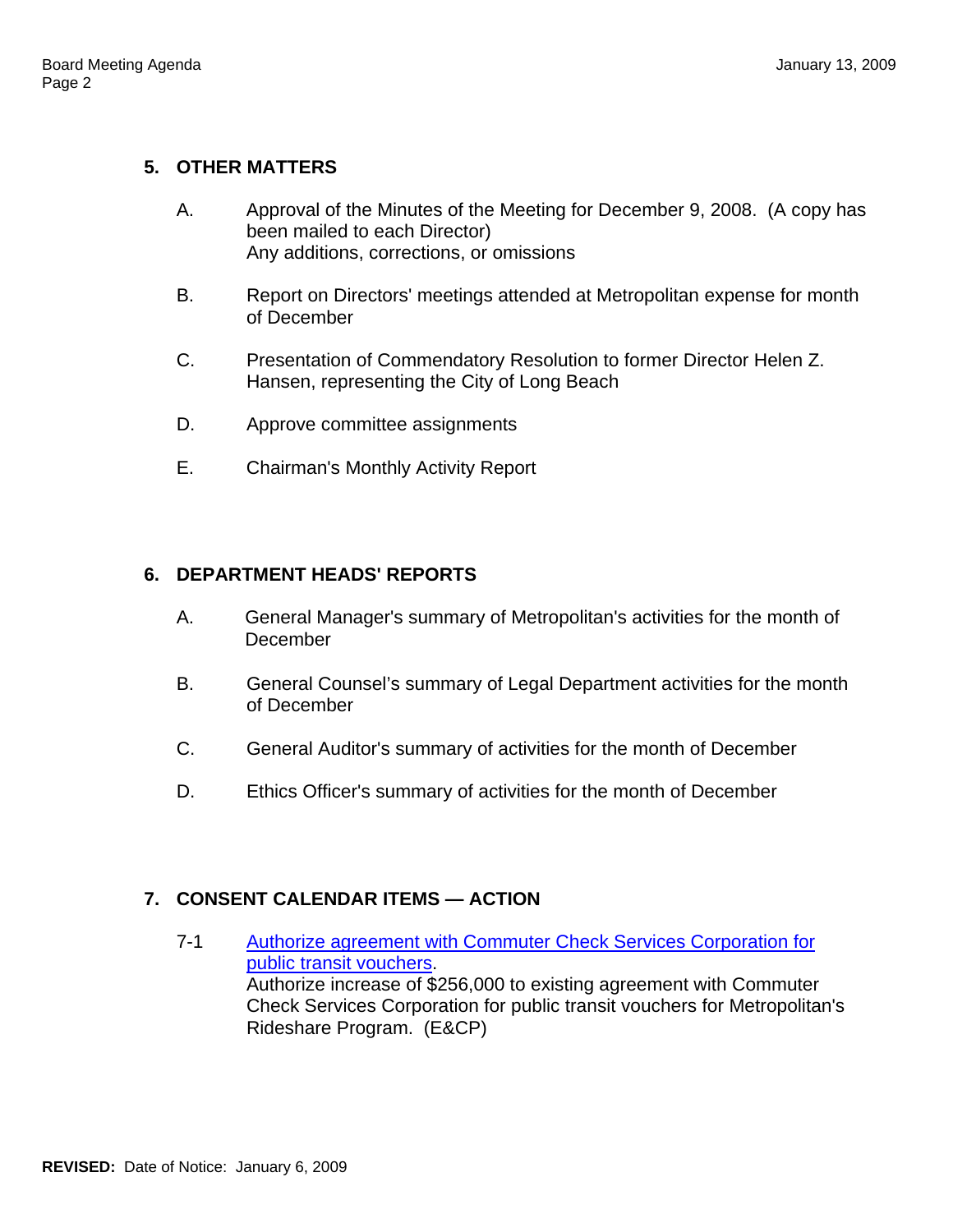# **5. OTHER MATTERS**

- A. Approval of the Minutes of the Meeting for December 9, 2008. (A copy has been mailed to each Director) Any additions, corrections, or omissions
- B. Report on Directors' meetings attended at Metropolitan expense for month of December
- C. Presentation of Commendatory Resolution to former Director Helen Z. Hansen, representing the City of Long Beach
- D. Approve committee assignments
- E. Chairman's Monthly Activity Report

# **6. DEPARTMENT HEADS' REPORTS**

- A. General Manager's summary of Metropolitan's activities for the month of December
- B. General Counsel's summary of Legal Department activities for the month of December
- C. General Auditor's summary of activities for the month of December
- D. Ethics Officer's summary of activities for the month of December

# **7. CONSENT CALENDAR ITEMS — ACTION**

7-1 Authorize agreement with Commuter Check Services Corporation for public transit vouchers. Authorize increase of \$256,000 to existing agreement with Commuter Check Services Corporation for public transit vouchers for Metropolitan's Rideshare Program. (E&CP)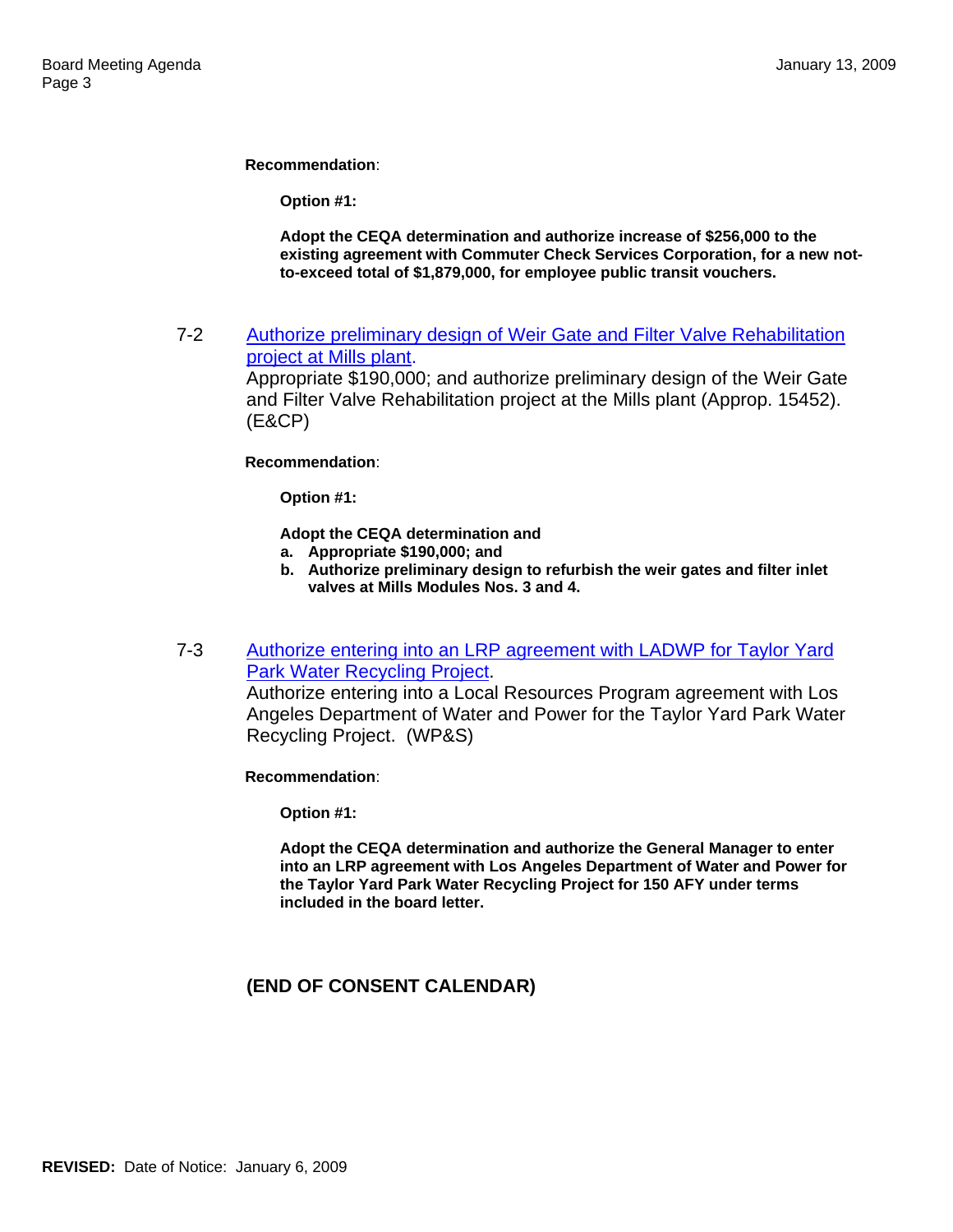**Recommendation**:

**Option #1:** 

**Adopt the CEQA determination and authorize increase of \$256,000 to the existing agreement with Commuter Check Services Corporation, for a new notto-exceed total of \$1,879,000, for employee public transit vouchers.**

7-2 Authorize preliminary design of Weir Gate and Filter Valve Rehabilitation project at Mills plant.

> Appropriate \$190,000; and authorize preliminary design of the Weir Gate and Filter Valve Rehabilitation project at the Mills plant (Approp. 15452). (E&CP)

**Recommendation**:

**Option #1:** 

**Adopt the CEQA determination and** 

- **a. Appropriate \$190,000; and**
- **b. Authorize preliminary design to refurbish the weir gates and filter inlet valves at Mills Modules Nos. 3 and 4.**
- 7-3 Authorize entering into an LRP agreement with LADWP for Taylor Yard Park Water Recycling Project.

Authorize entering into a Local Resources Program agreement with Los Angeles Department of Water and Power for the Taylor Yard Park Water Recycling Project. (WP&S)

**Recommendation**:

**Option #1:** 

**Adopt the CEQA determination and authorize the General Manager to enter into an LRP agreement with Los Angeles Department of Water and Power for the Taylor Yard Park Water Recycling Project for 150 AFY under terms included in the board letter.**

### **(END OF CONSENT CALENDAR)**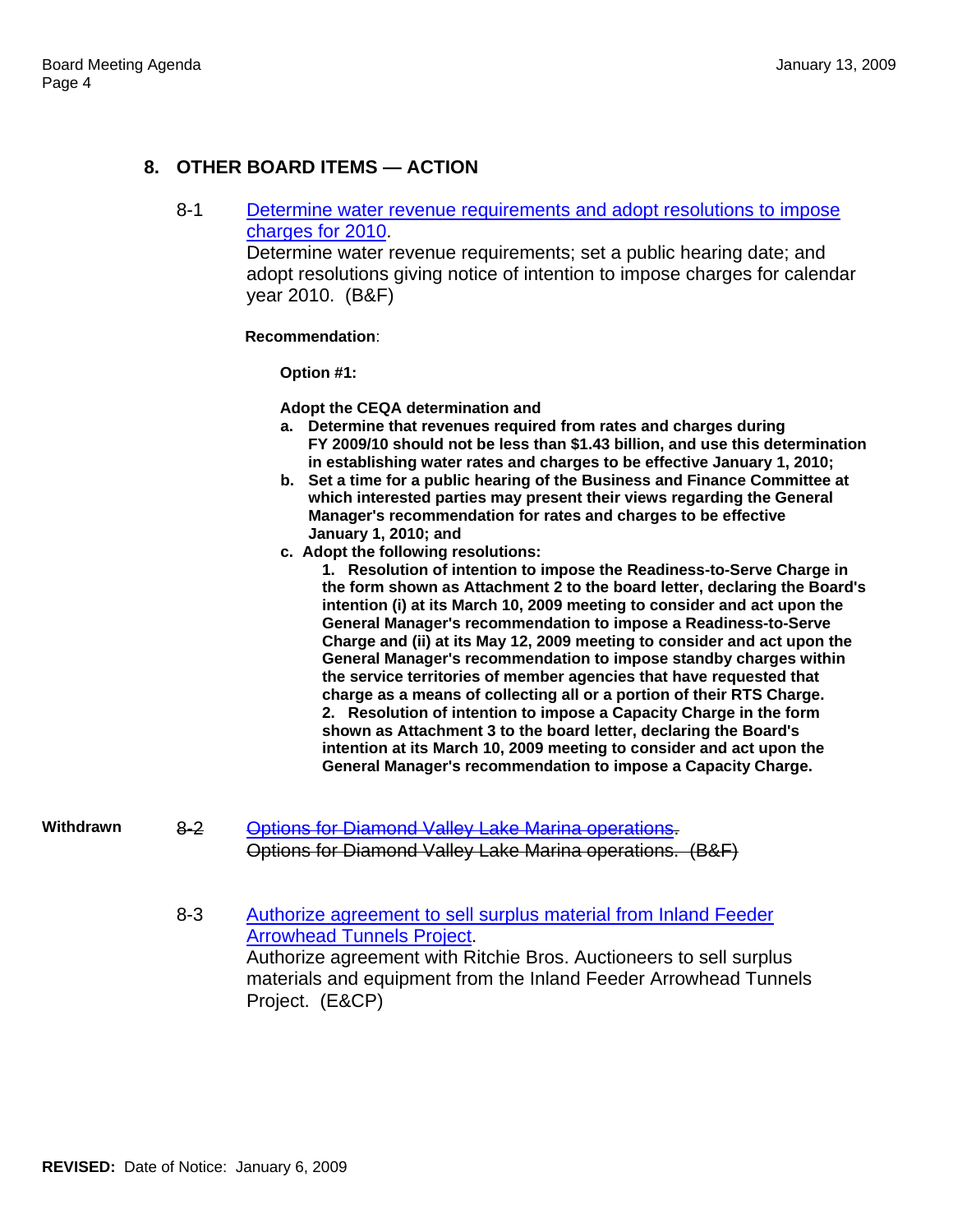### **8. OTHER BOARD ITEMS — ACTION**

8-1 Determine water revenue requirements and adopt resolutions to impose charges for 2010.

> Determine water revenue requirements; set a public hearing date; and adopt resolutions giving notice of intention to impose charges for calendar year 2010. (B&F)

**Recommendation**:

**Option #1:** 

**Adopt the CEQA determination and** 

- **a. Determine that revenues required from rates and charges during FY 2009/10 should not be less than \$1.43 billion, and use this determination in establishing water rates and charges to be effective January 1, 2010;**
- **b. Set a time for a public hearing of the Business and Finance Committee at which interested parties may present their views regarding the General Manager's recommendation for rates and charges to be effective January 1, 2010; and**
- **c. Adopt the following resolutions:**

**1. Resolution of intention to impose the Readiness-to-Serve Charge in the form shown as Attachment 2 to the board letter, declaring the Board's intention (i) at its March 10, 2009 meeting to consider and act upon the General Manager's recommendation to impose a Readiness-to-Serve Charge and (ii) at its May 12, 2009 meeting to consider and act upon the General Manager's recommendation to impose standby charges within the service territories of member agencies that have requested that charge as a means of collecting all or a portion of their RTS Charge. 2. Resolution of intention to impose a Capacity Charge in the form shown as Attachment 3 to the board letter, declaring the Board's intention at its March 10, 2009 meeting to consider and act upon the General Manager's recommendation to impose a Capacity Charge.** 

- **Withdrawn** 8-2 Options for Diamond Valley Lake Marina operations. Options for Diamond Valley Lake Marina operations. (B&F)
	- 8-3 Authorize agreement to sell surplus material from Inland Feeder Arrowhead Tunnels Project. Authorize agreement with Ritchie Bros. Auctioneers to sell surplus materials and equipment from the Inland Feeder Arrowhead Tunnels Project. (E&CP)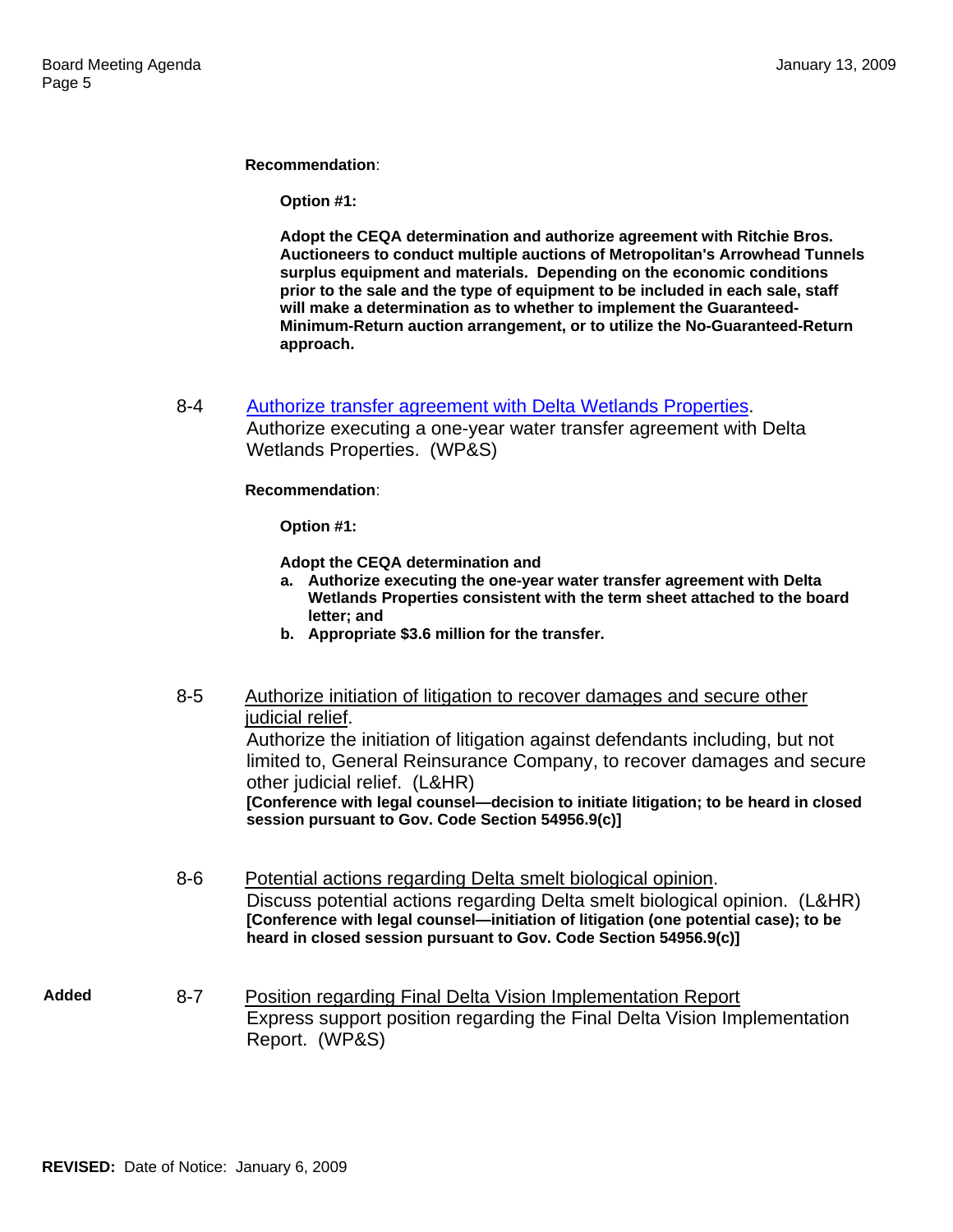**Recommendation**:

**Option #1:** 

**Adopt the CEQA determination and authorize agreement with Ritchie Bros. Auctioneers to conduct multiple auctions of Metropolitan's Arrowhead Tunnels surplus equipment and materials. Depending on the economic conditions prior to the sale and the type of equipment to be included in each sale, staff will make a determination as to whether to implement the Guaranteed-Minimum-Return auction arrangement, or to utilize the No-Guaranteed-Return approach.** 

8-4 Authorize transfer agreement with Delta Wetlands Properties.

Authorize executing a one-year water transfer agreement with Delta Wetlands Properties. (WP&S)

**Recommendation**:

**Option #1:** 

**Adopt the CEQA determination and** 

- **a. Authorize executing the one-year water transfer agreement with Delta Wetlands Properties consistent with the term sheet attached to the board letter; and**
- **b. Appropriate \$3.6 million for the transfer.**
- 8-5 Authorize initiation of litigation to recover damages and secure other judicial relief. Authorize the initiation of litigation against defendants including, but not limited to, General Reinsurance Company, to recover damages and secure other judicial relief. (L&HR) **[Conference with legal counsel—decision to initiate litigation; to be heard in closed session pursuant to Gov. Code Section 54956.9(c)]**
- 8-6 Potential actions regarding Delta smelt biological opinion. Discuss potential actions regarding Delta smelt biological opinion. (L&HR) **[Conference with legal counsel—initiation of litigation (one potential case); to be heard in closed session pursuant to Gov. Code Section 54956.9(c)]**
- **Added** 8-7 Position regarding Final Delta Vision Implementation Report Express support position regarding the Final Delta Vision Implementation Report. (WP&S)